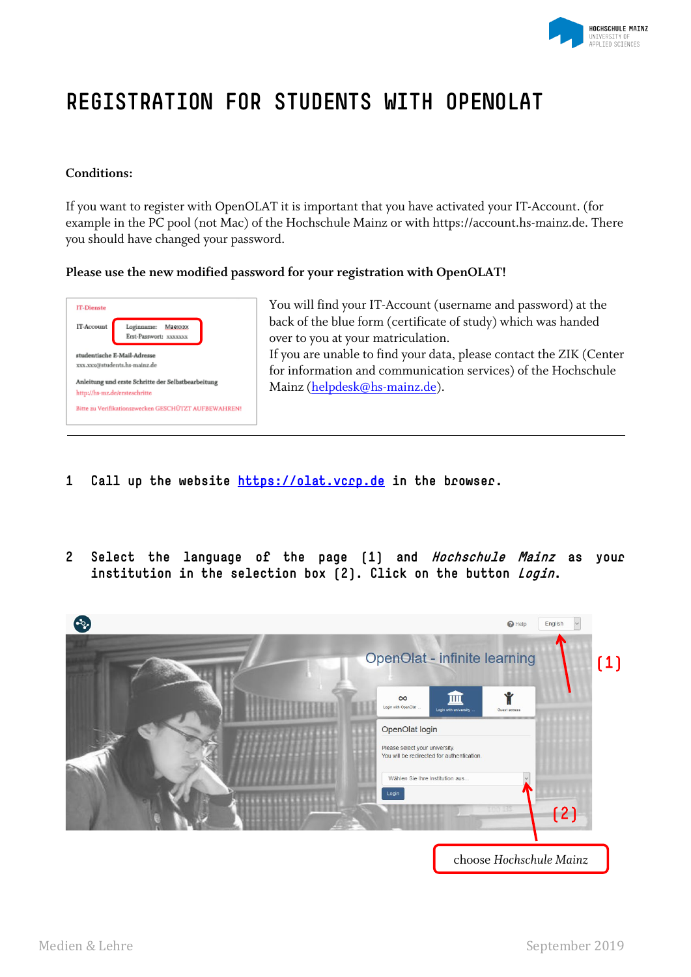

# **REGISTRATION FOR STUDENTS WITH OPENOLAT**

#### **Conditions:**

If you want to register with OpenOLAT it is important that you have activated your IT-Account. (for example in the PC pool (not Mac) of the Hochschule Mainz or with https://account.hs-mainz.de. There you should have changed your password.

#### **Please use the new modified password for your registration with OpenOLAT!**



You will find your IT-Account (username and password) at the back of the blue form (certificate of study) which was handed over to you at your matriculation. If you are unable to find your data, please contact the ZIK (Center for information and communication services) of the Hochschule Mainz [\(helpdesk@hs-mainz.de\)](mailto:helpdesk@hs-mainz.de).

- **1 Call up the website [https://olat.vcrp.de](https://olat.vcrp.de/) in the browser.**
- **2 Select the language of the page (1) and Hochschule Mainz as your institution in the selection box (2). Click on the button Login.**

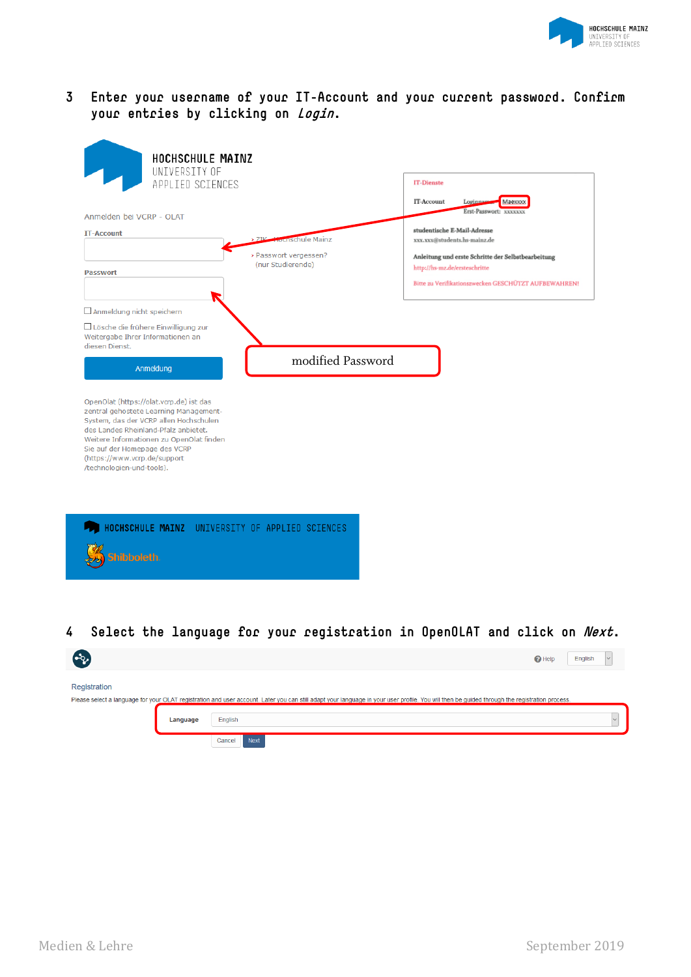

### **3 Enter your username of your IT-Account and your current password. Confirm your entries by clicking on Login.**

| HOCHSCHULE MAINZ<br>UNIVERSITY OF                                                                                                                                                                                                                                                                             |                                    |                                                            |
|---------------------------------------------------------------------------------------------------------------------------------------------------------------------------------------------------------------------------------------------------------------------------------------------------------------|------------------------------------|------------------------------------------------------------|
| APPLIED SCIENCES                                                                                                                                                                                                                                                                                              |                                    | <b>IT-Dienste</b>                                          |
|                                                                                                                                                                                                                                                                                                               |                                    | IT-Account<br>Loginna<br>Маехххх<br>Erst-Passwort: XXXXXXX |
| Anmelden bei VCRP - OLAT                                                                                                                                                                                                                                                                                      |                                    | studentische E-Mail-Adresse                                |
| <b>IT-Account</b>                                                                                                                                                                                                                                                                                             | > 71 <sup>c</sup> Hodischule Mainz | xxx.xxx@students.hs-mainz.de                               |
|                                                                                                                                                                                                                                                                                                               | > Passwort vergessen?              | Anleitung und erste Schritte der Selbstbearbeitung         |
| <b>Passwort</b>                                                                                                                                                                                                                                                                                               | (nur Studierende)                  | http://hs-mz.de/ersteschritte                              |
|                                                                                                                                                                                                                                                                                                               |                                    | Bitte zu Verifikationszwecken GESCHÜTZT AUFBEWAHREN!       |
| Anmeldung nicht speichern                                                                                                                                                                                                                                                                                     |                                    |                                                            |
| Lösche die frühere Einwilligung zur<br>Weitergabe Ihrer Informationen an<br>diesen Dienst.                                                                                                                                                                                                                    |                                    |                                                            |
|                                                                                                                                                                                                                                                                                                               | modified Password                  |                                                            |
| Anmeldung                                                                                                                                                                                                                                                                                                     |                                    |                                                            |
| OpenOlat (https://olat.vcrp.de) ist das<br>zentral gehostete Learning Management-<br>System, das der VCRP allen Hochschulen<br>des Landes Rheinland-Pfalz anbietet.<br>Weitere Informationen zu OpenOlat finden<br>Sie auf der Homepage des VCRP<br>(https://www.vcrp.de/support<br>/technologien-und-tools). |                                    |                                                            |
| HOCHSCHULE MAINZ UNIVERSITY OF APPLIED SCIENCES                                                                                                                                                                                                                                                               |                                    |                                                            |

## **4 Select the language for your registration in OpenOLAT and click on Next.**

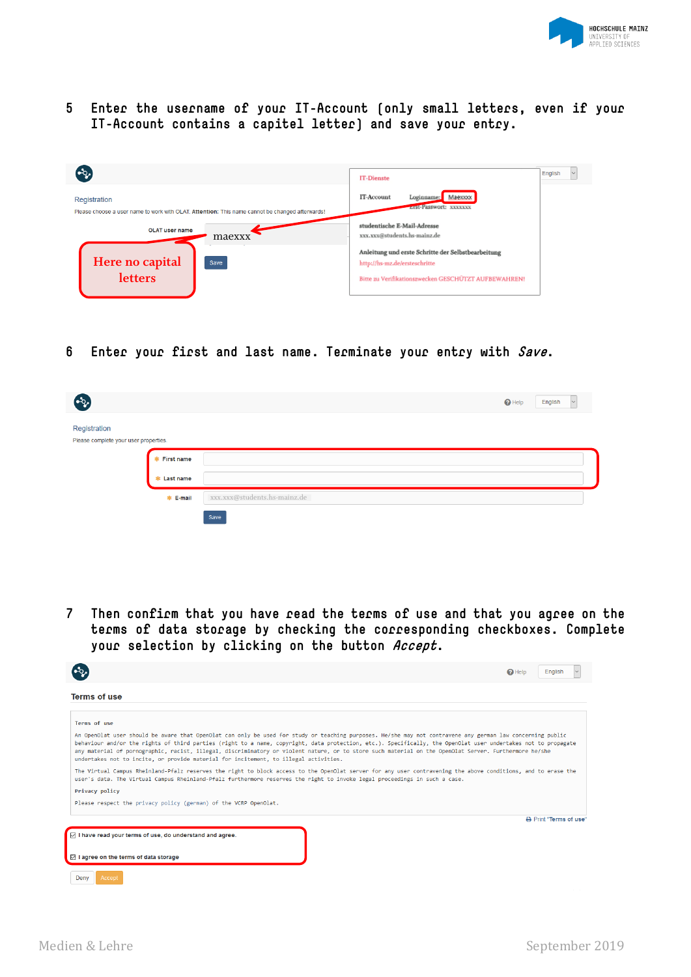

**5 Enter the username of your IT-Account (only small letters, even if your IT-Account contains a capitel letter) and save your entry.**

| $\mathbf{e}_i$                                                                                                  | <b>IT-Dienste</b>                                                                                                                           | English |
|-----------------------------------------------------------------------------------------------------------------|---------------------------------------------------------------------------------------------------------------------------------------------|---------|
| Registration<br>Please choose a user name to work with OLAT. Attention: This name cannot be changed afterwards! | IT-Account<br>Maexxxx<br>Loginname:<br>EISEPasswort: XXXXXXX                                                                                |         |
| <b>OLAT user name</b><br>maexxx                                                                                 | studentische E-Mail-Adresse<br>xxx.xxx@students.hs-mainz.de                                                                                 |         |
| Here no capital<br>letters<br>Save                                                                              | Anleitung und erste Schritte der Selbstbearbeitung<br>http://hs-mz.de/ersteschritte<br>Bitte zu Verifikationszwecken GESCHÜTZT AUFBEWAHREN! |         |

**6 Enter your first and last name. Terminate your entry with Save.**

| ′ಎ                                                    |                     | $\bigcirc$ Help<br>English<br>$\vee$ |
|-------------------------------------------------------|---------------------|--------------------------------------|
| Registration<br>Please complete your user properties. |                     |                                      |
|                                                       | <b>*</b> First name |                                      |
|                                                       | * Last name         |                                      |
|                                                       | * E-mail            | xxx.xxx@students.hs-mainz.de         |
|                                                       |                     | Save                                 |

**7 Then confirm that you have read the terms of use and that you agree on the terms of data storage by checking the corresponding checkboxes. Complete your selection by clicking on the button Accept.**

|                                                                                                                                                                                                                                                                                                                                                                                                                                                                                                                                                                              | $\mathbf{\Omega}$ Help | English                |
|------------------------------------------------------------------------------------------------------------------------------------------------------------------------------------------------------------------------------------------------------------------------------------------------------------------------------------------------------------------------------------------------------------------------------------------------------------------------------------------------------------------------------------------------------------------------------|------------------------|------------------------|
| <b>Terms of use</b>                                                                                                                                                                                                                                                                                                                                                                                                                                                                                                                                                          |                        |                        |
| Terms of use                                                                                                                                                                                                                                                                                                                                                                                                                                                                                                                                                                 |                        |                        |
| An OpenOlat user should be aware that OpenOlat can only be used for study or teaching purposes. He/she may not contravene any german law concerning public<br>behaviour and/or the rights of third parties (right to a name, copyright, data protection, etc.). Specifically, the OpenOlat user undertakes not to propagate<br>any material of pornographic, racist, illegal, discriminatory or violent nature, or to store such material on the OpenOlat Server. Furthermore he/she<br>undertakes not to incite, or provide material for incitement, to illegal activities. |                        |                        |
| The Virtual Campus Rheinland-Pfalz reserves the right to block access to the OpenOlat server for any user contravening the above conditions, and to erase the<br>user's data. The Virtual Campus Rheinland-Pfalz furthermore reserves the right to invoke legal proceedings in such a case.                                                                                                                                                                                                                                                                                  |                        |                        |
| Privacy policy                                                                                                                                                                                                                                                                                                                                                                                                                                                                                                                                                               |                        |                        |
| Please respect the privacy policy (german) of the VCRP OpenOlat.                                                                                                                                                                                                                                                                                                                                                                                                                                                                                                             |                        |                        |
|                                                                                                                                                                                                                                                                                                                                                                                                                                                                                                                                                                              |                        | A Print "Terms of use" |
| $\triangledown$ I have read your terms of use, do understand and agree.                                                                                                                                                                                                                                                                                                                                                                                                                                                                                                      |                        |                        |
| I agree on the terms of data storage                                                                                                                                                                                                                                                                                                                                                                                                                                                                                                                                         |                        |                        |
| Deny<br>Accept                                                                                                                                                                                                                                                                                                                                                                                                                                                                                                                                                               |                        |                        |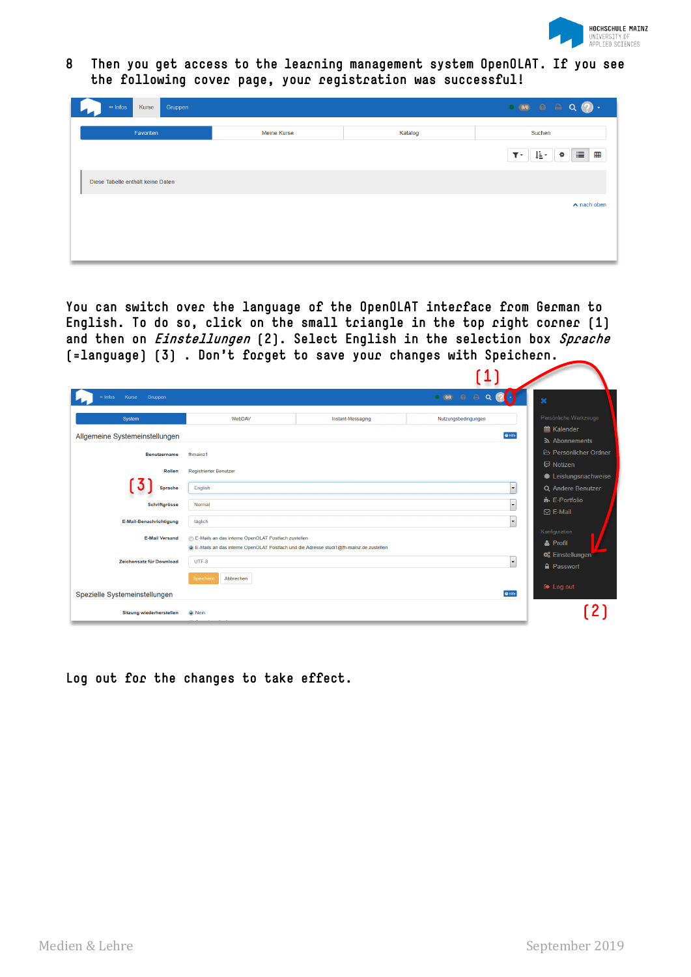

**8 Then you get access to the learning management system OpenOLAT. If you see the following cover page, your registration was successful!**

| $\sim$ Infos<br>Kurse<br>Gruppen  |                    |         | $\begin{array}{ccccccccc}\n\bullet & 0 & 0 & \Theta & \Theta & \Theta & \mathbf{Q} & \mathbf{Q}\n\end{array}$ |
|-----------------------------------|--------------------|---------|---------------------------------------------------------------------------------------------------------------|
| Favoriten                         | <b>Meine Kurse</b> | Katalog | Suchen                                                                                                        |
|                                   |                    |         | 這冊<br>胜。<br>÷.<br>$\mathbf{r}$                                                                                |
| Diese Tabelle enthält keine Daten |                    |         |                                                                                                               |
|                                   |                    |         | $\wedge$ nach oben                                                                                            |
|                                   |                    |         |                                                                                                               |
|                                   |                    |         |                                                                                                               |

**You can switch over the language of the OpenOLAT interface from German to English. To do so, click on the small triangle in the top right corner (1) and then on Einstellungen (2). Select English in the selection box Sprache (=language) (3) . Don't forget to save your changes with Speichern.**

| Kurse<br>Gruppen<br>$\infty$ Infos<br>System<br>WebDAV<br>Allgemeine Systemeinstellungen<br><b>Benutzername</b><br>fhmainz1<br>Rollen<br><b>Registrierter Benutzer</b><br>J<br>English<br><b>Sprache</b><br>Schriftgrösse<br>Normal |                                                                                                                                             |                              |                                                                       |
|-------------------------------------------------------------------------------------------------------------------------------------------------------------------------------------------------------------------------------------|---------------------------------------------------------------------------------------------------------------------------------------------|------------------------------|-----------------------------------------------------------------------|
|                                                                                                                                                                                                                                     |                                                                                                                                             | $\bullet$ 0/0 $\bullet$<br>A | ×                                                                     |
|                                                                                                                                                                                                                                     | Instant-Messaging                                                                                                                           | Nutzungsbedingungen          | Persönliche Werkzeuge<br><b>■ Kalender</b>                            |
|                                                                                                                                                                                                                                     |                                                                                                                                             | $Q$ Hife                     | a Abonnements                                                         |
|                                                                                                                                                                                                                                     |                                                                                                                                             |                              | <b>E</b> Persönlicher Ordner                                          |
|                                                                                                                                                                                                                                     |                                                                                                                                             |                              | <b>D</b> Notizen<br><b><math>\textbf{≢}</math></b> Leistungsnachweise |
|                                                                                                                                                                                                                                     |                                                                                                                                             | $\overline{\phantom{a}}$     | Q Andere Benutzer                                                     |
|                                                                                                                                                                                                                                     |                                                                                                                                             | $\overline{\phantom{a}}$     | $\mathbf{F}$ E-Portfolio<br>$\boxtimes$ E-Mail                        |
| E-Mail-Benachrichtigung<br>täglich                                                                                                                                                                                                  |                                                                                                                                             | $\overline{\phantom{a}}$     |                                                                       |
| <b>E-Mail Versand</b>                                                                                                                                                                                                               | E-Mails an das interne OpenOLAT Postfach zustellen<br>E-Mails an das interne OpenOLAT Postfach und die Adresse studi1@fh-mainz.de zustellen |                              | Konfiguration<br>& Profil<br><b>C</b> Einstellungen                   |
| Zeichensatz für Download<br>UTF-8                                                                                                                                                                                                   |                                                                                                                                             | $\overline{\phantom{a}}$     | <b>A</b> Passwort                                                     |
| Abbrechen<br>Speichern<br>Spezielle Systemeinstellungen                                                                                                                                                                             |                                                                                                                                             | $\Theta$ Hife                | $\bullet$ Log out                                                     |
| <b>Sitzung wiederherstellen</b><br>O Nein                                                                                                                                                                                           |                                                                                                                                             |                              |                                                                       |

**Log out for the changes to take effect.**